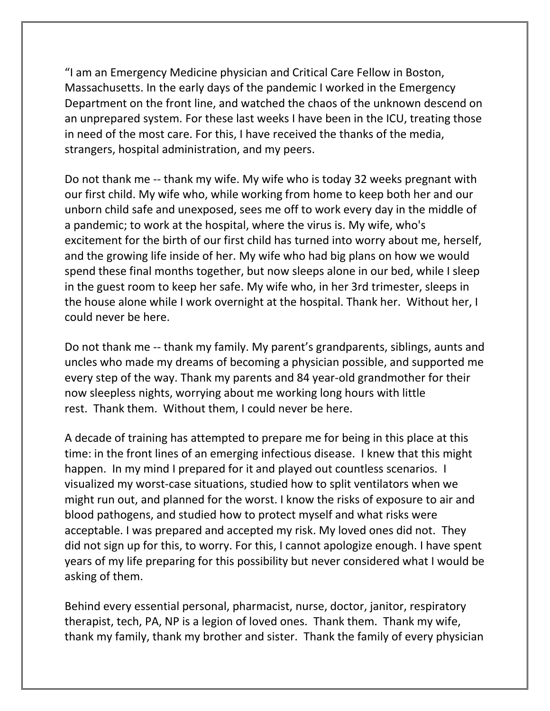"I am an Emergency Medicine physician and Critical Care Fellow in Boston, Massachusetts. In the early days of the pandemic I worked in the Emergency Department on the front line, and watched the chaos of the unknown descend on an unprepared system. For these last weeks I have been in the ICU, treating those in need of the most care. For this, I have received the thanks of the media, strangers, hospital administration, and my peers.

Do not thank me -- thank my wife. My wife who is today 32 weeks pregnant with our first child. My wife who, while working from home to keep both her and our unborn child safe and unexposed, sees me off to work every day in the middle of a pandemic; to work at the hospital, where the virus is. My wife, who's excitement for the birth of our first child has turned into worry about me, herself, and the growing life inside of her. My wife who had big plans on how we would spend these final months together, but now sleeps alone in our bed, while I sleep in the guest room to keep her safe. My wife who, in her 3rd trimester, sleeps in the house alone while I work overnight at the hospital. Thank her. Without her, I could never be here.

Do not thank me -- thank my family. My parent's grandparents, siblings, aunts and uncles who made my dreams of becoming a physician possible, and supported me every step of the way. Thank my parents and 84 year-old grandmother for their now sleepless nights, worrying about me working long hours with little rest. Thank them. Without them, I could never be here.

A decade of training has attempted to prepare me for being in this place at this time: in the front lines of an emerging infectious disease. I knew that this might happen. In my mind I prepared for it and played out countless scenarios. I visualized my worst-case situations, studied how to split ventilators when we might run out, and planned for the worst. I know the risks of exposure to air and blood pathogens, and studied how to protect myself and what risks were acceptable. I was prepared and accepted my risk. My loved ones did not. They did not sign up for this, to worry. For this, I cannot apologize enough. I have spent years of my life preparing for this possibility but never considered what I would be asking of them.

Behind every essential personal, pharmacist, nurse, doctor, janitor, respiratory therapist, tech, PA, NP is a legion of loved ones. Thank them. Thank my wife, thank my family, thank my brother and sister. Thank the family of every physician